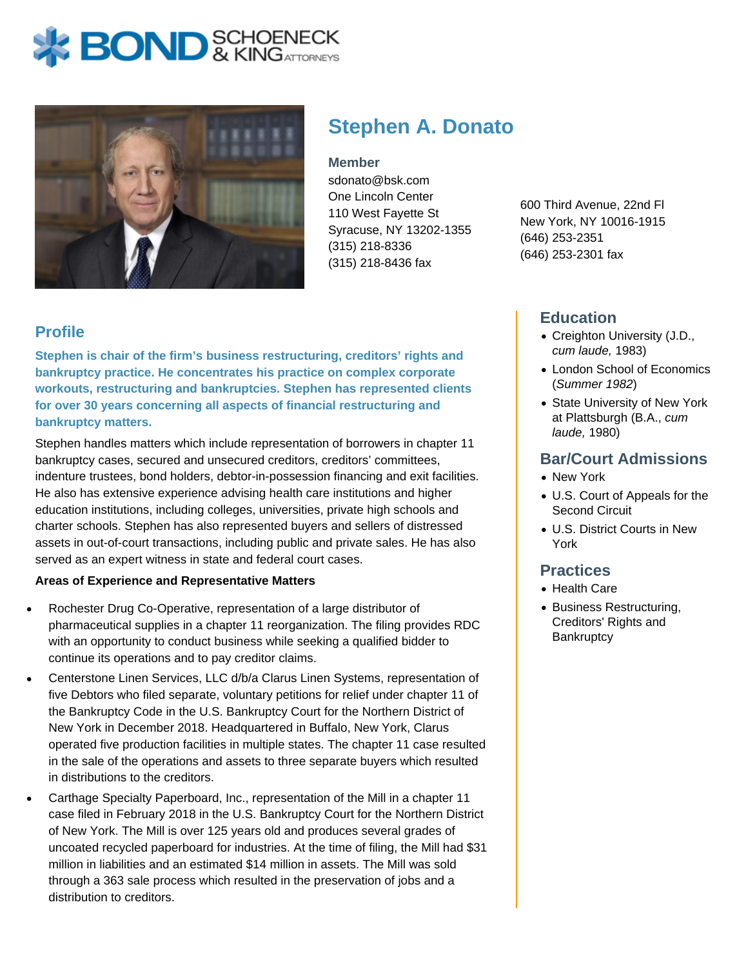



# **Stephen A. Donato**

#### **Member**

sdonato@bsk.com One Lincoln Center 110 West Fayette St Syracuse, NY 13202-1355 (315) 218-8336 (315) 218-8436 fax

600 Third Avenue, 22nd Fl New York, NY 10016-1915 (646) 253-2351 (646) 253-2301 fax

# **Education**

- Creighton University (J.D., cum laude, 1983)
- London School of Economics (Summer 1982)
- State University of New York at Plattsburgh (B.A., cum laude, 1980)

# **Bar/Court Admissions**

- New York
- U.S. Court of Appeals for the Second Circuit
- U.S. District Courts in New York

#### **Practices**

- Health Care
- Business Restructuring, Creditors' Rights and **Bankruptcy**

# **Profile**

**Stephen is chair of the firm's business restructuring, creditors' rights and bankruptcy practice. He concentrates his practice on complex corporate workouts, restructuring and bankruptcies. Stephen has represented clients for over 30 years concerning all aspects of financial restructuring and bankruptcy matters.**

Stephen handles matters which include representation of borrowers in chapter 11 bankruptcy cases, secured and unsecured creditors, creditors' committees, indenture trustees, bond holders, debtor-in-possession financing and exit facilities. He also has extensive experience advising health care institutions and higher education institutions, including colleges, universities, private high schools and charter schools. Stephen has also represented buyers and sellers of distressed assets in out-of-court transactions, including public and private sales. He has also served as an expert witness in state and federal court cases.

#### **Areas of Experience and Representative Matters**

- Rochester Drug Co-Operative, representation of a large distributor of pharmaceutical supplies in a chapter 11 reorganization. The filing provides RDC with an opportunity to conduct business while seeking a qualified bidder to continue its operations and to pay creditor claims.
- Centerstone Linen Services, LLC d/b/a Clarus Linen Systems, representation of five Debtors who filed separate, voluntary petitions for relief under chapter 11 of the Bankruptcy Code in the U.S. Bankruptcy Court for the Northern District of New York in December 2018. Headquartered in Buffalo, New York, Clarus operated five production facilities in multiple states. The chapter 11 case resulted in the sale of the operations and assets to three separate buyers which resulted in distributions to the creditors.
- Carthage Specialty Paperboard, Inc., representation of the Mill in a chapter 11 case filed in February 2018 in the U.S. Bankruptcy Court for the Northern District of New York. The Mill is over 125 years old and produces several grades of uncoated recycled paperboard for industries. At the time of filing, the Mill had \$31 million in liabilities and an estimated \$14 million in assets. The Mill was sold through a 363 sale process which resulted in the preservation of jobs and a distribution to creditors.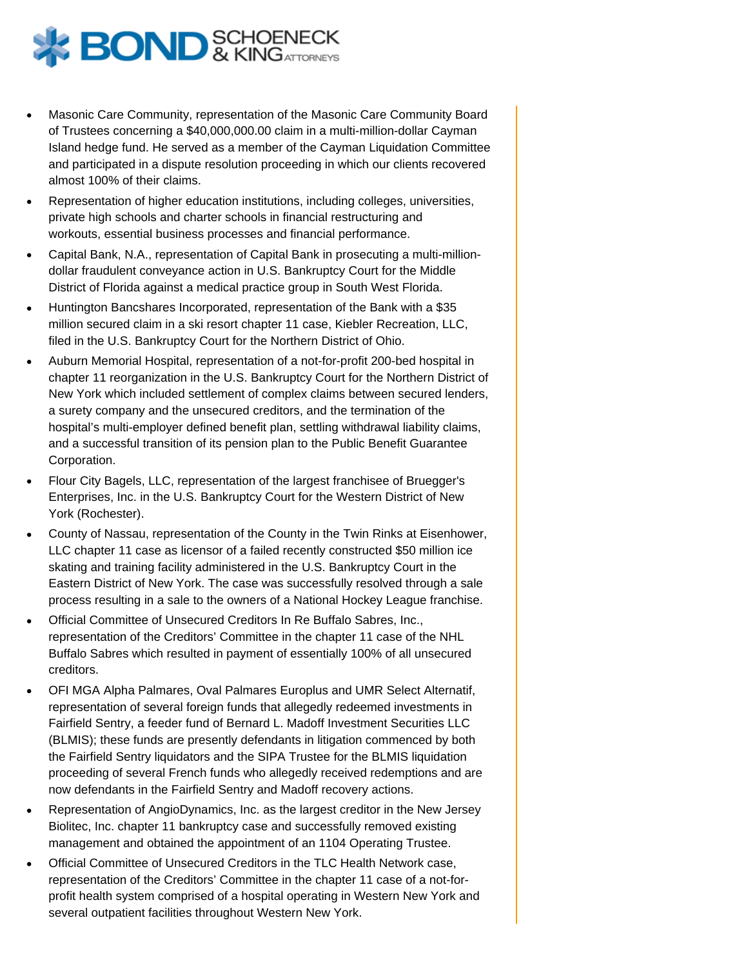

- Masonic Care Community, representation of the Masonic Care Community Board of Trustees concerning a \$40,000,000.00 claim in a multi-million-dollar Cayman Island hedge fund. He served as a member of the Cayman Liquidation Committee and participated in a dispute resolution proceeding in which our clients recovered almost 100% of their claims.
- Representation of higher education institutions, including colleges, universities, private high schools and charter schools in financial restructuring and workouts, essential business processes and financial performance.
- Capital Bank, N.A., representation of Capital Bank in prosecuting a multi-milliondollar fraudulent conveyance action in U.S. Bankruptcy Court for the Middle District of Florida against a medical practice group in South West Florida.
- Huntington Bancshares Incorporated, representation of the Bank with a \$35 million secured claim in a ski resort chapter 11 case, Kiebler Recreation, LLC, filed in the U.S. Bankruptcy Court for the Northern District of Ohio.
- Auburn Memorial Hospital, representation of a not-for-profit 200-bed hospital in chapter 11 reorganization in the U.S. Bankruptcy Court for the Northern District of New York which included settlement of complex claims between secured lenders, a surety company and the unsecured creditors, and the termination of the hospital's multi-employer defined benefit plan, settling withdrawal liability claims, and a successful transition of its pension plan to the Public Benefit Guarantee Corporation.
- Flour City Bagels, LLC, representation of the largest franchisee of Bruegger's Enterprises, Inc. in the U.S. Bankruptcy Court for the Western District of New York (Rochester).
- County of Nassau, representation of the County in the Twin Rinks at Eisenhower, LLC chapter 11 case as licensor of a failed recently constructed \$50 million ice skating and training facility administered in the U.S. Bankruptcy Court in the Eastern District of New York. The case was successfully resolved through a sale process resulting in a sale to the owners of a National Hockey League franchise.
- Official Committee of Unsecured Creditors In Re Buffalo Sabres, Inc., representation of the Creditors' Committee in the chapter 11 case of the NHL Buffalo Sabres which resulted in payment of essentially 100% of all unsecured creditors.
- OFI MGA Alpha Palmares, Oval Palmares Europlus and UMR Select Alternatif, representation of several foreign funds that allegedly redeemed investments in Fairfield Sentry, a feeder fund of Bernard L. Madoff Investment Securities LLC (BLMIS); these funds are presently defendants in litigation commenced by both the Fairfield Sentry liquidators and the SIPA Trustee for the BLMIS liquidation proceeding of several French funds who allegedly received redemptions and are now defendants in the Fairfield Sentry and Madoff recovery actions.
- Representation of AngioDynamics, Inc. as the largest creditor in the New Jersey Biolitec, Inc. chapter 11 bankruptcy case and successfully removed existing management and obtained the appointment of an 1104 Operating Trustee.
- Official Committee of Unsecured Creditors in the TLC Health Network case, representation of the Creditors' Committee in the chapter 11 case of a not-forprofit health system comprised of a hospital operating in Western New York and several outpatient facilities throughout Western New York.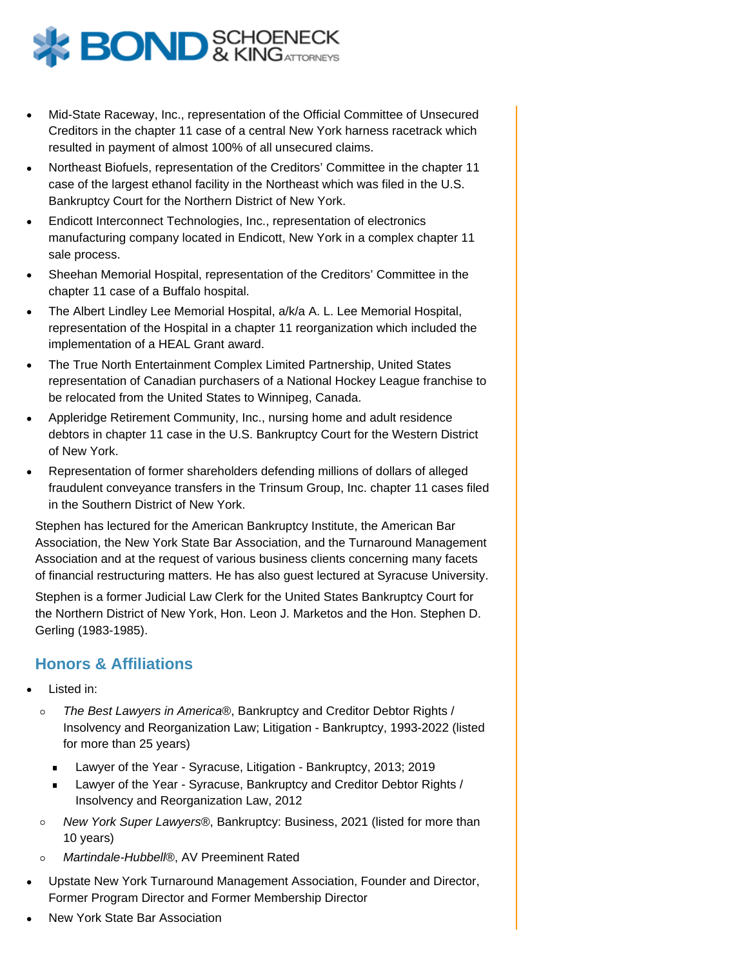

- Mid-State Raceway, Inc., representation of the Official Committee of Unsecured Creditors in the chapter 11 case of a central New York harness racetrack which resulted in payment of almost 100% of all unsecured claims.
- Northeast Biofuels, representation of the Creditors' Committee in the chapter 11 case of the largest ethanol facility in the Northeast which was filed in the U.S. Bankruptcy Court for the Northern District of New York.
- Endicott Interconnect Technologies, Inc., representation of electronics manufacturing company located in Endicott, New York in a complex chapter 11 sale process.
- Sheehan Memorial Hospital, representation of the Creditors' Committee in the chapter 11 case of a Buffalo hospital.
- The Albert Lindley Lee Memorial Hospital, a/k/a A. L. Lee Memorial Hospital, representation of the Hospital in a chapter 11 reorganization which included the implementation of a HEAL Grant award.
- The True North Entertainment Complex Limited Partnership, United States representation of Canadian purchasers of a National Hockey League franchise to be relocated from the United States to Winnipeg, Canada.
- Appleridge Retirement Community, Inc., nursing home and adult residence debtors in chapter 11 case in the U.S. Bankruptcy Court for the Western District of New York.
- Representation of former shareholders defending millions of dollars of alleged fraudulent conveyance transfers in the Trinsum Group, Inc. chapter 11 cases filed in the Southern District of New York.

Stephen has lectured for the American Bankruptcy Institute, the American Bar Association, the New York State Bar Association, and the Turnaround Management Association and at the request of various business clients concerning many facets of financial restructuring matters. He has also guest lectured at Syracuse University.

Stephen is a former Judicial Law Clerk for the United States Bankruptcy Court for the Northern District of New York, Hon. Leon J. Marketos and the Hon. Stephen D. Gerling (1983-1985).

# **Honors & Affiliations**

- Listed in:
	- The Best Lawyers in America®, Bankruptcy and Creditor Debtor Rights /  $\circ$ Insolvency and Reorganization Law; Litigation - Bankruptcy, 1993-2022 (listed for more than 25 years)
		- Lawyer of the Year Syracuse, Litigation Bankruptcy, 2013; 2019
		- Lawyer of the Year Syracuse, Bankruptcy and Creditor Debtor Rights /  $\blacksquare$ Insolvency and Reorganization Law, 2012
	- New York Super Lawyers®, Bankruptcy: Business, 2021 (listed for more than  $\circ$ 10 years)
	- $\circ$ Martindale-Hubbell®, AV Preeminent Rated
- Upstate New York Turnaround Management Association, Founder and Director, Former Program Director and Former Membership Director
- New York State Bar Association